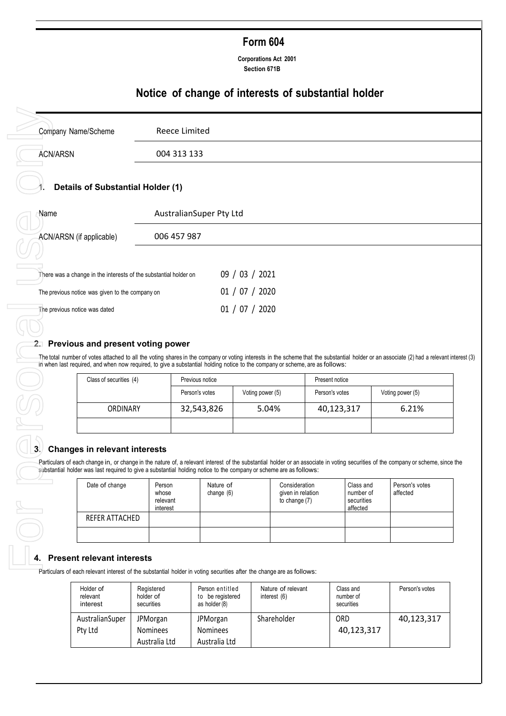# **Form 604**

**Corporations Act 2001 Section 671B**

# **Notice of change of interests of substantial holder**

|                                                                                                                                                                                                                                                                                                                                                                  | Company Name/Scheme     |                                         |                         |                  |                                                     |                |                                                  |                            |
|------------------------------------------------------------------------------------------------------------------------------------------------------------------------------------------------------------------------------------------------------------------------------------------------------------------------------------------------------------------|-------------------------|-----------------------------------------|-------------------------|------------------|-----------------------------------------------------|----------------|--------------------------------------------------|----------------------------|
| <b>ACN/ARSN</b>                                                                                                                                                                                                                                                                                                                                                  |                         | 004 313 133                             |                         |                  |                                                     |                |                                                  |                            |
| <b>Details of Substantial Holder (1)</b>                                                                                                                                                                                                                                                                                                                         |                         |                                         |                         |                  |                                                     |                |                                                  |                            |
| Name                                                                                                                                                                                                                                                                                                                                                             |                         | AustralianSuper Pty Ltd                 |                         |                  |                                                     |                |                                                  |                            |
| ACN/ARSN (if applicable)                                                                                                                                                                                                                                                                                                                                         |                         | 006 457 987                             |                         |                  |                                                     |                |                                                  |                            |
| There was a change in the interests of the substantial holder on                                                                                                                                                                                                                                                                                                 |                         |                                         |                         | 09 / 03 / 2021   |                                                     |                |                                                  |                            |
| The previous notice was given to the company on                                                                                                                                                                                                                                                                                                                  |                         |                                         |                         | 01 / 07 / 2020   |                                                     |                |                                                  |                            |
| The previous notice was dated                                                                                                                                                                                                                                                                                                                                    |                         |                                         |                         | 01 / 07 / 2020   |                                                     |                |                                                  |                            |
|                                                                                                                                                                                                                                                                                                                                                                  |                         |                                         |                         |                  |                                                     |                |                                                  |                            |
|                                                                                                                                                                                                                                                                                                                                                                  | Class of securities (4) |                                         | Previous notice         |                  |                                                     | Present notice |                                                  |                            |
|                                                                                                                                                                                                                                                                                                                                                                  |                         |                                         | Person's votes          | Voting power (5) |                                                     | Person's votes |                                                  | Voting power (5)           |
|                                                                                                                                                                                                                                                                                                                                                                  | ORDINARY                |                                         | 32,543,826              | 5.04%            |                                                     | 40,123,317     |                                                  | 6.21%                      |
| 2. Previous and present voting power<br>The total number of votes attached to all the voting shares in the company or voting interests in the scheme that the substantial holder or an associate (2) had a relevant interest (3)<br>in when last required, and when now required, to give a substantial holding notice to the company or scheme, are as follows: |                         |                                         |                         |                  |                                                     |                |                                                  |                            |
| <b>Changes in relevant interests</b><br>Particulars of each change in, or change in the nature of, a relevant interest of the substantial holder or an associate in voting securities of the company or scheme, since the<br>substantial holder was last required to give a substantial holding notice to the company or scheme are as follows:                  |                         |                                         |                         |                  |                                                     |                |                                                  |                            |
| Date of change                                                                                                                                                                                                                                                                                                                                                   |                         | Person<br>whose<br>relevant<br>interest | Nature of<br>change (6) |                  | Consideration<br>given in relation<br>to change (7) |                | Class and<br>number of<br>securities<br>affected | Person's votes<br>affected |
|                                                                                                                                                                                                                                                                                                                                                                  | REFER ATTACHED          |                                         |                         |                  |                                                     |                |                                                  |                            |

## **2. Previous and present voting power**

| Class of securities (4) | Previous notice                    |  | Present notice |                  |  |
|-------------------------|------------------------------------|--|----------------|------------------|--|
|                         | Voting power (5)<br>Person's votes |  | Person's votes | Voting power (5) |  |
| <b>ORDINARY</b>         | 5.04%<br>32,543,826                |  | 40,123,317     | 6.21%            |  |
|                         |                                    |  |                |                  |  |

## **3. Changes in relevant interests**

| Date of change | Person<br>whose<br>relevant<br>interest | Nature of<br>change $(6)$ | Consideration<br>given in relation<br>to change $(7)$ | Class and<br>number of<br>securities<br>affected | Person's votes<br>affected |
|----------------|-----------------------------------------|---------------------------|-------------------------------------------------------|--------------------------------------------------|----------------------------|
| REFER ATTACHED |                                         |                           |                                                       |                                                  |                            |
|                |                                         |                           |                                                       |                                                  |                            |

# **4. Present relevant interests**

Particulars of each relevant interest of the substantial holder in voting securities after the change are as follows:

| Holder of<br>relevant<br>interest | Registered<br>holder of<br>securities | Person entitled<br>to be registered<br>as holder (8) | Nature of relevant<br>interest $(6)$ | Class and<br>number of<br>securities | Person's votes |
|-----------------------------------|---------------------------------------|------------------------------------------------------|--------------------------------------|--------------------------------------|----------------|
| AustralianSuper                   | JPMorgan                              | JPMorgan                                             | Shareholder                          | ORD                                  | 40,123,317     |
| Pty Ltd                           | <b>Nominees</b>                       | <b>Nominees</b>                                      |                                      | 40,123,317                           |                |
|                                   | Australia Ltd                         | Australia Ltd                                        |                                      |                                      |                |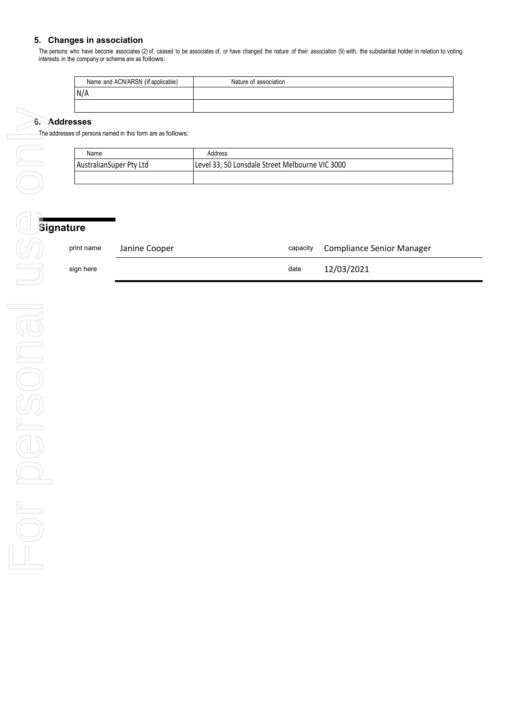# **5. Changes in association**

The persons who have become associates (2) of, ceased to be associates of, or have changed the nature of their association (9) with, the substantial holder in relation to voting interests in the company or scheme are as follows:

| Name and ACN/ARSN (if applicable) | Nature of association |
|-----------------------------------|-----------------------|
| N/A                               |                       |
|                                   |                       |

#### **6. Addresses**

The addresses of persons named in this form are as follows:

| Name                    | Address                                         |
|-------------------------|-------------------------------------------------|
| AustralianSuper Pty Ltd | Level 33, 50 Lonsdale Street Melbourne VIC 3000 |
|                         |                                                 |

| print name | Janine Cooper |      | capacity Compliance Senior Manager |
|------------|---------------|------|------------------------------------|
| sign here  |               | date | 12/03/2021                         |